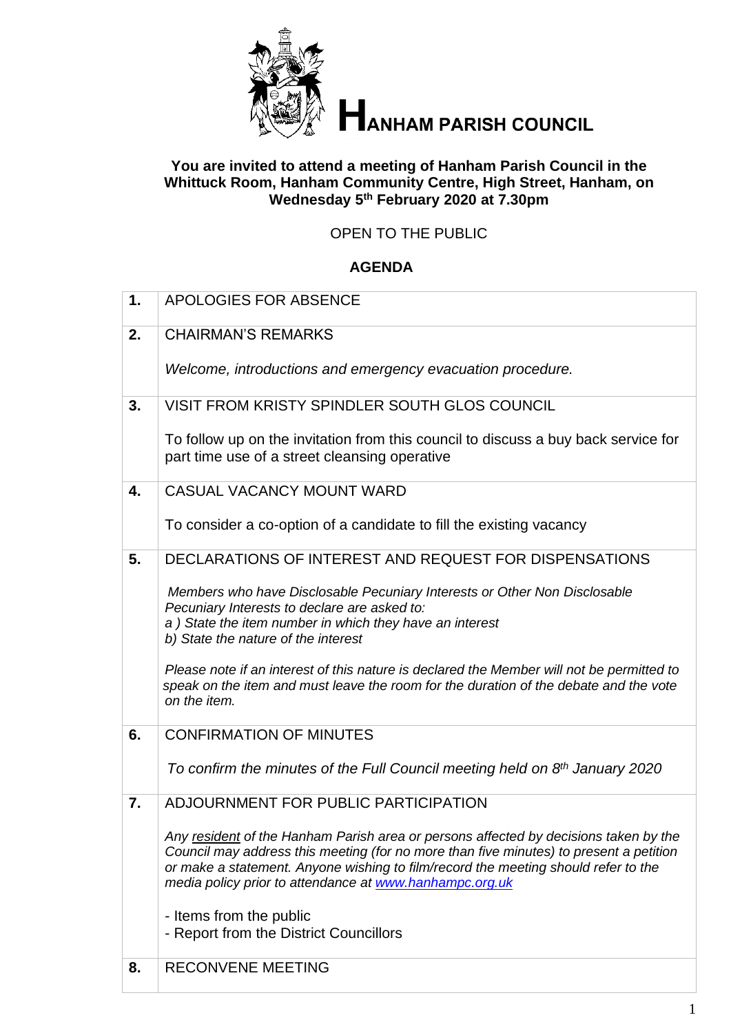

# **HANHAM PARISH COUNCIL**

## **You are invited to attend a meeting of Hanham Parish Council in the Whittuck Room, Hanham Community Centre, High Street, Hanham, on Wednesday 5 th February 2020 at 7.30pm**

## OPEN TO THE PUBLIC

## **AGENDA**

| 1. | <b>APOLOGIES FOR ABSENCE</b>                                                                                                                                                                                                                                                                                                    |
|----|---------------------------------------------------------------------------------------------------------------------------------------------------------------------------------------------------------------------------------------------------------------------------------------------------------------------------------|
| 2. | <b>CHAIRMAN'S REMARKS</b>                                                                                                                                                                                                                                                                                                       |
|    | Welcome, introductions and emergency evacuation procedure.                                                                                                                                                                                                                                                                      |
| 3. | VISIT FROM KRISTY SPINDLER SOUTH GLOS COUNCIL                                                                                                                                                                                                                                                                                   |
|    | To follow up on the invitation from this council to discuss a buy back service for<br>part time use of a street cleansing operative                                                                                                                                                                                             |
| 4. | CASUAL VACANCY MOUNT WARD                                                                                                                                                                                                                                                                                                       |
|    | To consider a co-option of a candidate to fill the existing vacancy                                                                                                                                                                                                                                                             |
| 5. | DECLARATIONS OF INTEREST AND REQUEST FOR DISPENSATIONS                                                                                                                                                                                                                                                                          |
|    | Members who have Disclosable Pecuniary Interests or Other Non Disclosable<br>Pecuniary Interests to declare are asked to:<br>a) State the item number in which they have an interest<br>b) State the nature of the interest                                                                                                     |
|    | Please note if an interest of this nature is declared the Member will not be permitted to<br>speak on the item and must leave the room for the duration of the debate and the vote<br>on the item.                                                                                                                              |
| 6. | <b>CONFIRMATION OF MINUTES</b>                                                                                                                                                                                                                                                                                                  |
|    | To confirm the minutes of the Full Council meeting held on 8 <sup>th</sup> January 2020                                                                                                                                                                                                                                         |
| 7. | ADJOURNMENT FOR PUBLIC PARTICIPATION                                                                                                                                                                                                                                                                                            |
|    | Any resident of the Hanham Parish area or persons affected by decisions taken by the<br>Council may address this meeting (for no more than five minutes) to present a petition<br>or make a statement. Anyone wishing to film/record the meeting should refer to the<br>media policy prior to attendance at www.hanhampc.org.uk |
|    | - Items from the public                                                                                                                                                                                                                                                                                                         |
|    | - Report from the District Councillors                                                                                                                                                                                                                                                                                          |
| 8. | <b>RECONVENE MEETING</b>                                                                                                                                                                                                                                                                                                        |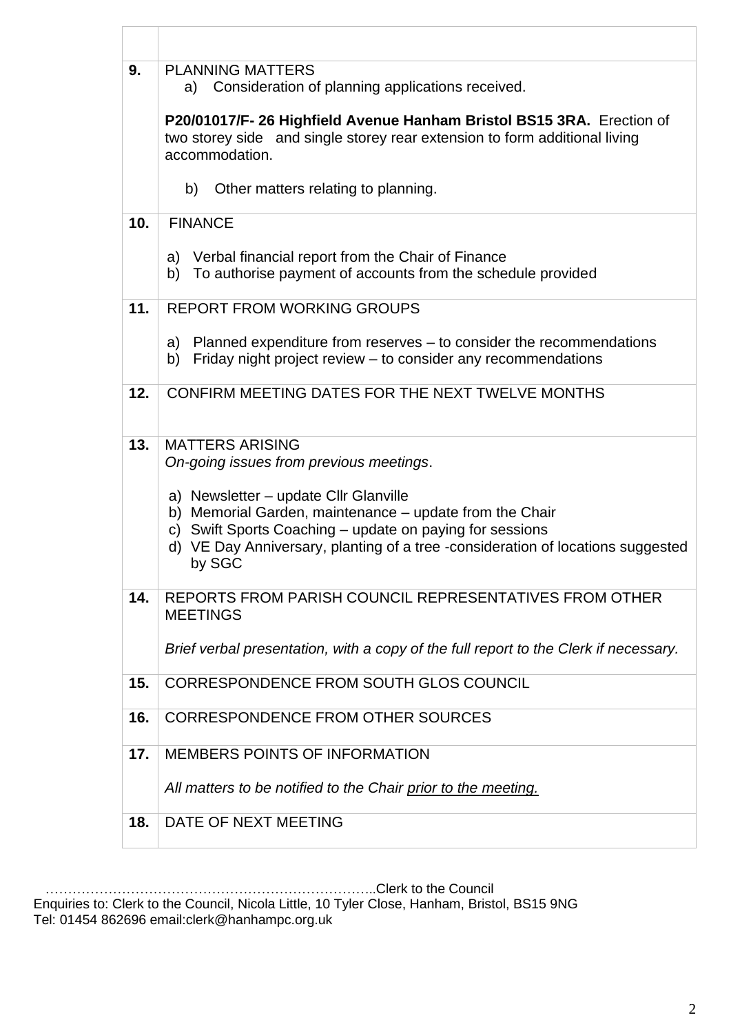| 9.  | <b>PLANNING MATTERS</b><br>a) Consideration of planning applications received.<br>P20/01017/F-26 Highfield Avenue Hanham Bristol BS15 3RA. Erection of<br>two storey side and single storey rear extension to form additional living<br>accommodation.   |  |  |
|-----|----------------------------------------------------------------------------------------------------------------------------------------------------------------------------------------------------------------------------------------------------------|--|--|
|     |                                                                                                                                                                                                                                                          |  |  |
|     | Other matters relating to planning.<br>b)                                                                                                                                                                                                                |  |  |
| 10. | <b>FINANCE</b>                                                                                                                                                                                                                                           |  |  |
|     | a) Verbal financial report from the Chair of Finance<br>To authorise payment of accounts from the schedule provided<br>b)                                                                                                                                |  |  |
| 11. | <b>REPORT FROM WORKING GROUPS</b>                                                                                                                                                                                                                        |  |  |
|     | a) Planned expenditure from reserves – to consider the recommendations<br>Friday night project review – to consider any recommendations<br>b)                                                                                                            |  |  |
| 12. | CONFIRM MEETING DATES FOR THE NEXT TWELVE MONTHS                                                                                                                                                                                                         |  |  |
| 13. | <b>MATTERS ARISING</b><br>On-going issues from previous meetings.                                                                                                                                                                                        |  |  |
|     | a) Newsletter – update Cllr Glanville<br>b) Memorial Garden, maintenance – update from the Chair<br>c) Swift Sports Coaching – update on paying for sessions<br>d) VE Day Anniversary, planting of a tree-consideration of locations suggested<br>by SGC |  |  |
| 14. | REPORTS FROM PARISH COUNCIL REPRESENTATIVES FROM OTHER<br><b>MEETINGS</b>                                                                                                                                                                                |  |  |
|     | Brief verbal presentation, with a copy of the full report to the Clerk if necessary.                                                                                                                                                                     |  |  |
| 15. | CORRESPONDENCE FROM SOUTH GLOS COUNCIL                                                                                                                                                                                                                   |  |  |
| 16. | <b>CORRESPONDENCE FROM OTHER SOURCES</b>                                                                                                                                                                                                                 |  |  |
| 17. | <b>MEMBERS POINTS OF INFORMATION</b>                                                                                                                                                                                                                     |  |  |
|     | All matters to be notified to the Chair prior to the meeting.                                                                                                                                                                                            |  |  |
| 18. | DATE OF NEXT MEETING                                                                                                                                                                                                                                     |  |  |

………………………………………………………………..Clerk to the Council

Enquiries to: Clerk to the Council, Nicola Little, 10 Tyler Close, Hanham, Bristol, BS15 9NG Tel: 01454 862696 email:clerk@hanhampc.org.uk